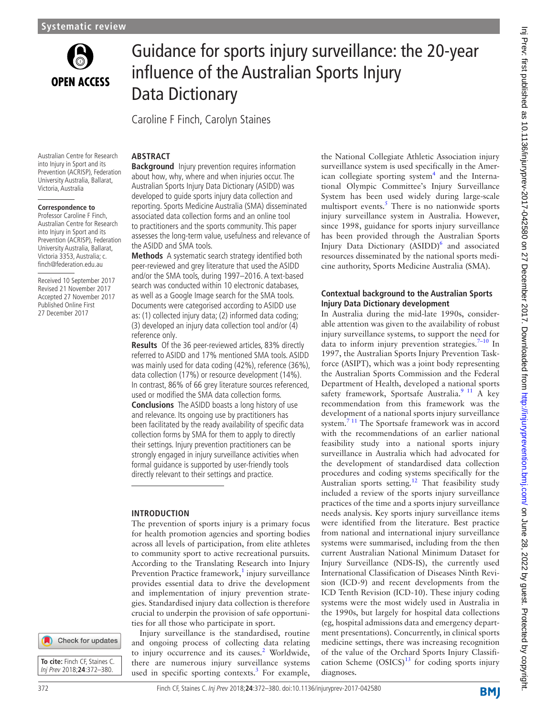

# Guidance for sports injury surveillance: the 20-year influence of the Australian Sports Injury Data Dictionary

Caroline F Finch, Carolyn Staines

**ARSTRACT** 

#### Australian Centre for Research into Injury in Sport and its Prevention (ACRISP), Federation University Australia, Ballarat, Victoria, Australia

#### **Correspondence to**

Professor Caroline F Finch, Australian Centre for Research into Injury in Sport and its Prevention (ACRISP), Federation University Australia, Ballarat, Victoria 3353, Australia; c. finch@federation.edu.au

Received 10 September 2017 Revised 21 November 2017 Accepted 27 November 2017 Published Online First 27 December 2017

**Background** Injury prevention requires information about how, why, where and when injuries occur. The Australian Sports Injury Data Dictionary (ASIDD) was developed to guide sports injury data collection and reporting. Sports Medicine Australia (SMA) disseminated associated data collection forms and an online tool to practitioners and the sports community. This paper assesses the long-term value, usefulness and relevance of the ASIDD and SMA tools.

**Methods** A systematic search strategy identified both peer-reviewed and grey literature that used the ASIDD and/or the SMA tools, during 1997–2016. A text-based search was conducted within 10 electronic databases, as well as a Google Image search for the SMA tools. Documents were categorised according to ASIDD use as: (1) collected injury data; (2) informed data coding; (3) developed an injury data collection tool and/or (4) reference only.

**Results** Of the 36 peer-reviewed articles, 83% directly referred to ASIDD and 17% mentioned SMA tools. ASIDD was mainly used for data coding (42%), reference (36%), data collection (17%) or resource development (14%). In contrast, 86% of 66 grey literature sources referenced, used or modified the SMA data collection forms. **Conclusions** The ASIDD boasts a long history of use and relevance. Its ongoing use by practitioners has been facilitated by the ready availability of specific data collection forms by SMA for them to apply to directly their settings. Injury prevention practitioners can be strongly engaged in injury surveillance activities when formal guidance is supported by user-friendly tools directly relevant to their settings and practice.

## **Introduction**

The prevention of sports injury is a primary focus for health promotion agencies and sporting bodies across all levels of participation, from elite athletes to community sport to active recreational pursuits. According to the Translating Research into Injury Prevention Practice framework,<sup>[1](#page-6-0)</sup> injury surveillance provides essential data to drive the development and implementation of injury prevention strategies. Standardised injury data collection is therefore crucial to underpin the provision of safe opportunities for all those who participate in sport.

Injury surveillance is the standardised, routine and ongoing process of collecting data relating to injury occurrence and its causes.<sup>[2](#page-6-1)</sup> Worldwide, there are numerous injury surveillance systems used in specific sporting contexts.<sup>[3](#page-6-2)</sup> For example, the National Collegiate Athletic Association injury surveillance system is used specifically in the Amer-ican collegiate sporting system<sup>[4](#page-6-3)</sup> and the International Olympic Committee's Injury Surveillance System has been used widely during large-scale multisport events. $5$  There is no nationwide sports injury surveillance system in Australia. However, since 1998, guidance for sports injury surveillance has been provided through the Australian Sports Injury Data Dictionary (ASIDD)<sup>[6](#page-6-5)</sup> and associated resources disseminated by the national sports medicine authority, Sports Medicine Australia (SMA).

## **Contextual background to the Australian Sports Injury Data Dictionary development**

In Australia during the mid-late 1990s, considerable attention was given to the availability of robust injury surveillance systems, to support the need for data to inform injury prevention strategies. $7-10$  In 1997, the Australian Sports Injury Prevention Taskforce (ASIPT), which was a joint body representing the Australian Sports Commission and the Federal Department of Health, developed a national sports safety framework, Sportsafe Australia.<sup>9 11</sup> A key recommendation from this framework was the development of a national sports injury surveillance system.<sup>7 11</sup> The Sportsafe framework was in accord with the recommendations of an earlier national feasibility study into a national sports injury surveillance in Australia which had advocated for the development of standardised data collection procedures and coding systems specifically for the Australian sports setting.<sup>[12](#page-6-8)</sup> That feasibility study included a review of the sports injury surveillance practices of the time and a sports injury surveillance needs analysis. Key sports injury surveillance items were identified from the literature. Best practice from national and international injury surveillance systems were summarised, including from the then current Australian National Minimum Dataset for Injury Surveillance (NDS-IS), the currently used International Classification of Diseases Ninth Revision (ICD-9) and recent developments from the ICD Tenth Revision (ICD-10). These injury coding systems were the most widely used in Australia in the 1990s, but largely for hospital data collections (eg, hospital admissions data and emergency department presentations). Concurrently, in clinical sports medicine settings, there was increasing recognition of the value of the Orchard Sports Injury Classification Scheme  $(OSICS)^{13}$  for coding sports injury diagnoses.

**BMI** 

**To cite:** Finch CF, Staines C. Inj Prev 2018;**24**:372–380.

Check for updates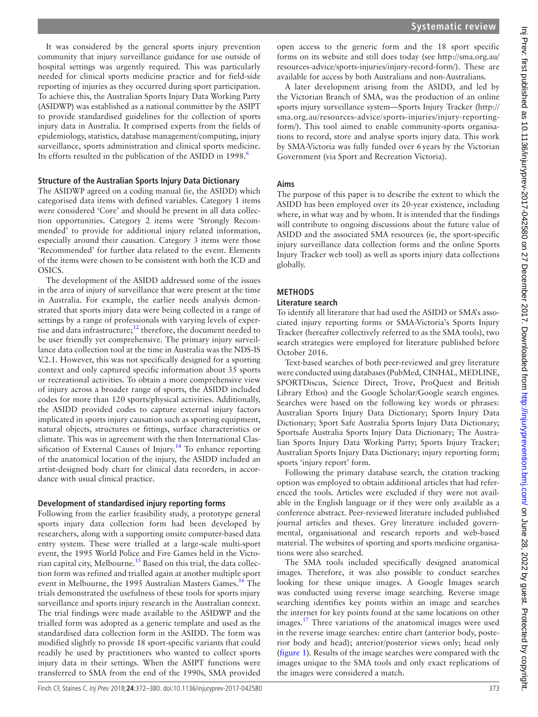It was considered by the general sports injury prevention community that injury surveillance guidance for use outside of hospital settings was urgently required. This was particularly needed for clinical sports medicine practice and for field-side reporting of injuries as they occurred during sport participation. To achieve this, the Australian Sports Injury Data Working Party (ASIDWP) was established as a national committee by the ASIPT to provide standardised guidelines for the collection of sports injury data in Australia. It comprised experts from the fields of epidemiology, statistics, database management/computing, injury surveillance, sports administration and clinical sports medicine. Its efforts resulted in the publication of the ASIDD in 1998.<sup>6</sup>

#### **Structure of the Australian Sports Injury Data Dictionary**

The ASIDWP agreed on a coding manual (ie, the ASIDD) which categorised data items with defined variables. Category 1 items were considered 'Core' and should be present in all data collection opportunities. Category 2 items were 'Strongly Recommended' to provide for additional injury related information, especially around their causation. Category 3 items were those 'Recommended' for further data related to the event. Elements of the items were chosen to be consistent with both the ICD and OSICS.

The development of the ASIDD addressed some of the issues in the area of injury of surveillance that were present at the time in Australia. For example, the earlier needs analysis demonstrated that sports injury data were being collected in a range of settings by a range of professionals with varying levels of expertise and data infrastructure;<sup>12</sup> therefore, the document needed to be user friendly yet comprehensive. The primary injury surveillance data collection tool at the time in Australia was the NDS-IS V.2.1. However, this was not specifically designed for a sporting context and only captured specific information about 35 sports or recreational activities. To obtain a more comprehensive view of injury across a broader range of sports, the ASIDD included codes for more than 120 sports/physical activities. Additionally, the ASIDD provided codes to capture external injury factors implicated in sports injury causation such as sporting equipment, natural objects, structures or fittings, surface characteristics or climate. This was in agreement with the then International Classification of External Causes of Injury.<sup>14</sup> To enhance reporting of the anatomical location of the injury, the ASIDD included an artist-designed body chart for clinical data recorders, in accordance with usual clinical practice.

#### **Development of standardised injury reporting forms**

Following from the earlier feasibility study, a prototype general sports injury data collection form had been developed by researchers, along with a supporting onsite computer-based data entry system. These were trialled at a large-scale multi-sport event, the 1995 World Police and Fire Games held in the Victo-rian capital city, Melbourne.<sup>[15](#page-6-11)</sup> Based on this trial, the data collection form was refined and trialled again at another multiple sport event in Melbourne, the 1995 Australian Masters Games.<sup>16</sup> The trials demonstrated the usefulness of these tools for sports injury surveillance and sports injury research in the Australian context. The trial findings were made available to the ASIDWP and the trialled form was adopted as a generic template and used as the standardised data collection form in the ASIDD. The form was modified slightly to provide 18 sport-specific variants that could readily be used by practitioners who wanted to collect sports injury data in their settings. When the ASIPT functions were transferred to SMA from the end of the 1990s, SMA provided

open access to the generic form and the 18 sport specific forms on its website and still does today (see [http://sma.org.au/](http://sma.org.au/resources-advice/sports-injuries/injury-record-form/) [resources-advice/sports-injuries/injury-record-form/](http://sma.org.au/resources-advice/sports-injuries/injury-record-form/)). These are available for access by both Australians and non-Australians.

A later development arising from the ASIDD, and led by the Victorian Branch of SMA, was the production of an online sports injury surveillance system—Sports Injury Tracker [\(http://](http://sma.org.au/resources-advice/sports-injuries/injury-reporting-form/) [sma.org.au/resources-advice/sports-injuries/injury-reporting](http://sma.org.au/resources-advice/sports-injuries/injury-reporting-form/)[form/](http://sma.org.au/resources-advice/sports-injuries/injury-reporting-form/)). This tool aimed to enable community-sports organisations to record, store and analyse sports injury data. This work by SMA-Victoria was fully funded over 6years by the Victorian Government (via Sport and Recreation Victoria).

#### **Aims**

The purpose of this paper is to describe the extent to which the ASIDD has been employed over its 20-year existence, including where, in what way and by whom. It is intended that the findings will contribute to ongoing discussions about the future value of ASIDD and the associated SMA resources (ie, the sport-specific injury surveillance data collection forms and the online Sports Injury Tracker web tool) as well as sports injury data collections globally.

## **Methods**

#### **Literature search**

To identify all literature that had used the ASIDD or SMA's associated injury reporting forms or SMA-Victoria's Sports Injury Tracker (hereafter collectively referred to as the SMA tools), two search strategies were employed for literature published before October 2016.

Text-based searches of both peer-reviewed and grey literature were conducted using databases (PubMed, CINHAL, MEDLINE, SPORTDiscus, Science Direct, Trove, ProQuest and British Library Ethos) and the Google Scholar/Google search engines. Searches were based on the following key words or phrases: Australian Sports Injury Data Dictionary; Sports Injury Data Dictionary; Sport Safe Australia Sports Injury Data Dictionary; Sportsafe Australia Sports Injury Data Dictionary; The Australian Sports Injury Data Working Party; Sports Injury Tracker; Australian Sports Injury Data Dictionary; injury reporting form; sports 'injury report' form.

Following the primary database search, the citation tracking option was employed to obtain additional articles that had referenced the tools. Articles were excluded if they were not available in the English language or if they were only available as a conference abstract. Peer-reviewed literature included published journal articles and theses. Grey literature included governmental, organisational and research reports and web-based material. The websites of sporting and sports medicine organisations were also searched.

The SMA tools included specifically designed anatomical images. Therefore, it was also possible to conduct searches looking for these unique images. A Google Images search was conducted using reverse image searching. Reverse image searching identifies key points within an image and searches the internet for key points found at the same locations on other images.<sup>17</sup> Three variations of the anatomical images were used in the reverse image searches: entire chart (anterior body, posterior body and head); anterior/posterior views only; head only ([figure](#page-2-0) 1). Results of the image searches were compared with the images unique to the SMA tools and only exact replications of the images were considered a match.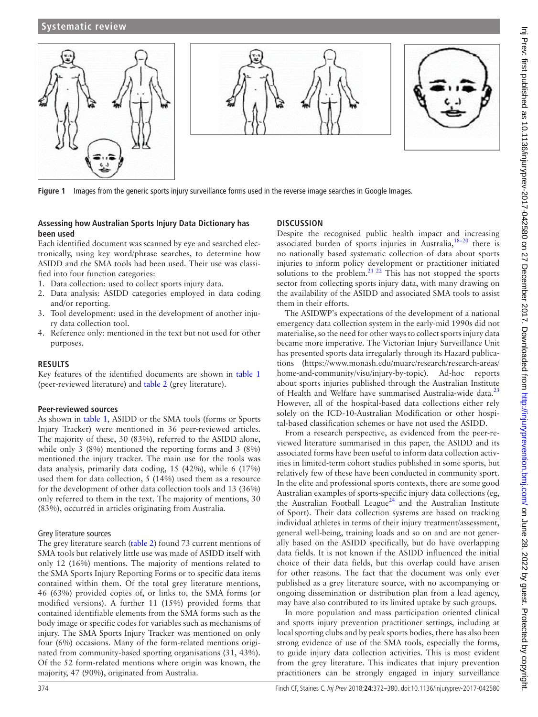

<span id="page-2-0"></span>**Figure 1** Images from the generic sports injury surveillance forms used in the reverse image searches in Google Images.

## **Assessing how Australian Sports Injury Data Dictionary has been used**

Each identified document was scanned by eye and searched electronically, using key word/phrase searches, to determine how ASIDD and the SMA tools had been used. Their use was classified into four function categories:

- 1. Data collection: used to collect sports injury data.
- 2. Data analysis: ASIDD categories employed in data coding and/or reporting.
- 3. Tool development: used in the development of another injury data collection tool.
- 4. Reference only: mentioned in the text but not used for other purposes.

#### **Results**

Key features of the identified documents are shown in [table](#page-3-0) 1 (peer-reviewed literature) and [table](#page-4-0) 2 (grey literature).

#### **Peer-reviewed sources**

As shown in [table](#page-3-0) 1, ASIDD or the SMA tools (forms or Sports Injury Tracker) were mentioned in 36 peer-reviewed articles. The majority of these, 30 (83%), referred to the ASIDD alone, while only 3 (8%) mentioned the reporting forms and 3 (8%) mentioned the injury tracker. The main use for the tools was data analysis, primarily data coding, 15 (42%), while 6 (17%) used them for data collection, 5 (14%) used them as a resource for the development of other data collection tools and 13 (36%) only referred to them in the text. The majority of mentions, 30 (83%), occurred in articles originating from Australia.

#### Grey literature sources

The grey literature search ([table](#page-4-0) 2) found 73 current mentions of SMA tools but relatively little use was made of ASIDD itself with only 12 (16%) mentions. The majority of mentions related to the SMA Sports Injury Reporting Forms or to specific data items contained within them. Of the total grey literature mentions, 46 (63%) provided copies of, or links to, the SMA forms (or modified versions). A further 11 (15%) provided forms that contained identifiable elements from the SMA forms such as the body image or specific codes for variables such as mechanisms of injury. The SMA Sports Injury Tracker was mentioned on only four (6%) occasions. Many of the form-related mentions originated from community-based sporting organisations (31, 43%). Of the 52 form-related mentions where origin was known, the majority, 47 (90%), originated from Australia.

## **Discussion**

Despite the recognised public health impact and increasing associated burden of sports injuries in Australia,  $18-20$  there is no nationally based systematic collection of data about sports injuries to inform policy development or practitioner initiated solutions to the problem.<sup>21 22</sup> This has not stopped the sports sector from collecting sports injury data, with many drawing on the availability of the ASIDD and associated SMA tools to assist them in their efforts.

The ASIDWP's expectations of the development of a national emergency data collection system in the early-mid 1990s did not materialise, so the need for other ways to collect sports injury data became more imperative. The Victorian Injury Surveillance Unit has presented sports data irregularly through its Hazard publications [\(https://www.monash.edu/muarc/research/research-areas/](https://www.monash.edu/muarc/research/research-areas/home-and-community/visu/injury-by-topic) [home-and-community/visu/injury-by-topic](https://www.monash.edu/muarc/research/research-areas/home-and-community/visu/injury-by-topic)). Ad-hoc reports about sports injuries published through the Australian Institute of Health and Welfare have summarised Australia-wide data.<sup>[23](#page-6-16)</sup> However, all of the hospital-based data collections either rely solely on the ICD-10-Australian Modification or other hospital-based classification schemes or have not used the ASIDD.

From a research perspective, as evidenced from the peer-reviewed literature summarised in this paper, the ASIDD and its associated forms have been useful to inform data collection activities in limited-term cohort studies published in some sports, but relatively few of these have been conducted in community sport. In the elite and professional sports contexts, there are some good Australian examples of sports-specific injury data collections (eg, the Australian Football League<sup>[24](#page-6-17)</sup> and the Australian Institute of Sport). Their data collection systems are based on tracking individual athletes in terms of their injury treatment/assessment, general well-being, training loads and so on and are not generally based on the ASIDD specifically, but do have overlapping data fields. It is not known if the ASIDD influenced the initial choice of their data fields, but this overlap could have arisen for other reasons. The fact that the document was only ever published as a grey literature source, with no accompanying or ongoing dissemination or distribution plan from a lead agency, may have also contributed to its limited uptake by such groups.

In more population and mass participation oriented clinical and sports injury prevention practitioner settings, including at local sporting clubs and by peak sports bodies, there has also been strong evidence of use of the SMA tools, especially the forms, to guide injury data collection activities. This is most evident from the grey literature. This indicates that injury prevention practitioners can be strongly engaged in injury surveillance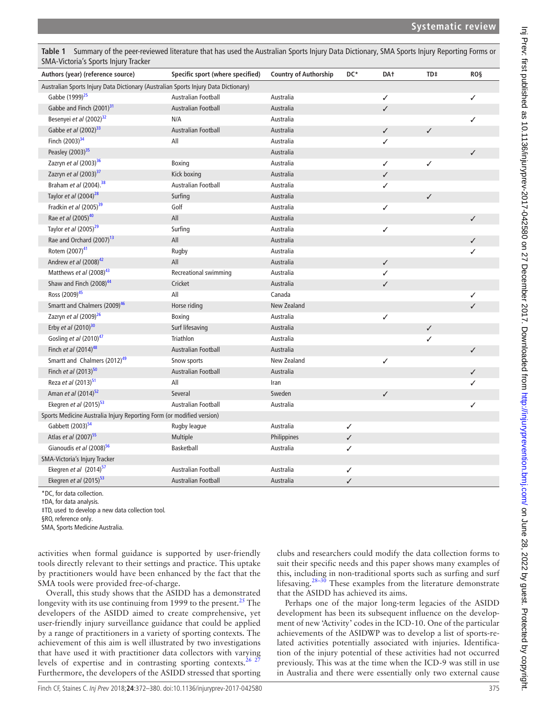| Authors (year) (reference source)                                                   | Specific sport (where specified) | <b>Country of Authorship</b> | DC*          | DA <sup>+</sup> | TD‡          | <b>ROS</b> |
|-------------------------------------------------------------------------------------|----------------------------------|------------------------------|--------------|-----------------|--------------|------------|
| Australian Sports Injury Data Dictionary (Australian Sports Injury Data Dictionary) |                                  |                              |              |                 |              |            |
| Gabbe (1999) <sup>25</sup>                                                          | Australian Football              | Australia                    |              | ✓               |              | ✓          |
| Gabbe and Finch (2001) <sup>31</sup>                                                | <b>Australian Football</b>       | Australia                    |              | $\checkmark$    |              |            |
| Besenyei et al (2002) <sup>32</sup>                                                 | N/A                              | Australia                    |              |                 |              | ✓          |
| Gabbe et al (2002) <sup>33</sup>                                                    | Australian Football              | Australia                    |              | $\checkmark$    | ✓            |            |
| Finch (2003) <sup>34</sup>                                                          | All                              | Australia                    |              | ✓               |              |            |
| Peasley (2003) <sup>35</sup>                                                        |                                  | Australia                    |              |                 |              |            |
| Zazryn et al (2003) <sup>36</sup>                                                   | Boxing                           | Australia                    |              | ✓               | ✓            |            |
| Zazryn et al (2003) <sup>37</sup>                                                   | Kick boxing                      | Australia                    |              | $\checkmark$    |              |            |
| Braham et al (2004). <sup>38</sup>                                                  | Australian Football              | Australia                    |              | ✓               |              |            |
| Taylor et al $(2004)^{28}$                                                          | Surfing                          | Australia                    |              |                 | ✓            |            |
| Fradkin et al (2005) <sup>39</sup>                                                  | Golf                             | Australia                    |              | ✓               |              |            |
| Rae et al (2005) <sup>40</sup>                                                      | All                              | Australia                    |              |                 |              |            |
| Taylor et al $(2005)^{29}$                                                          | Surfing                          | Australia                    |              | ✓               |              |            |
| Rae and Orchard (2007) <sup>13</sup>                                                | All                              | Australia                    |              |                 |              |            |
| Rotem (2007) <sup>41</sup>                                                          | Rugby                            | Australia                    |              |                 |              |            |
| Andrew et al (2008) <sup>42</sup>                                                   | All                              | Australia                    |              | $\checkmark$    |              |            |
| Matthews et al (2008) <sup>43</sup>                                                 | Recreational swimming            | Australia                    |              | ✓               |              |            |
| Shaw and Finch $(2008)^{44}$                                                        | Cricket                          | Australia                    |              | $\checkmark$    |              |            |
| Ross (2009) <sup>45</sup>                                                           | All                              | Canada                       |              |                 |              |            |
| Smartt and Chalmers (2009) <sup>46</sup>                                            | Horse riding                     | New Zealand                  |              |                 |              |            |
| Zazryn et al (2009) <sup>26</sup>                                                   | Boxing                           | Australia                    |              | ✓               |              |            |
| Erby et al $(2010)^{30}$                                                            | Surf lifesaving                  | Australia                    |              |                 | $\checkmark$ |            |
| Gosling et al (2010) <sup>47</sup>                                                  | Triathlon                        | Australia                    |              |                 | ✓            |            |
| Finch et al (2014) <sup>48</sup>                                                    | Australian Football              | Australia                    |              |                 |              |            |
| Smartt and Chalmers (2012) <sup>49</sup>                                            | Snow sports                      | New Zealand                  |              | ✓               |              |            |
| Finch et al (2013) <sup>50</sup>                                                    | Australian Football              | Australia                    |              |                 |              |            |
| Reza et al (2013) <sup>51</sup>                                                     | All                              | Iran                         |              |                 |              |            |
| Aman et al (2014) <sup>52</sup>                                                     | Several                          | Sweden                       |              | ✓               |              |            |
| Ekegren et al $(2015)^{53}$                                                         | Australian Football              | Australia                    |              |                 |              |            |
| Sports Medicine Australia Injury Reporting Form (or modified version)               |                                  |                              |              |                 |              |            |
| Gabbett (2003) <sup>54</sup>                                                        | Rugby league                     | Australia                    | ✓            |                 |              |            |
| Atlas et al (2007) <sup>55</sup>                                                    | Multiple                         | Philippines                  | $\checkmark$ |                 |              |            |
| Gianoudis et al (2008) <sup>56</sup>                                                | Basketball                       | Australia                    | ✓            |                 |              |            |
| SMA-Victoria's Injury Tracker                                                       |                                  |                              |              |                 |              |            |
| Ekegren et al (2014) <sup>57</sup>                                                  | Australian Football              | Australia                    | ✓            |                 |              |            |
| Ekegren et al (2015) <sup>53</sup>                                                  | <b>Australian Football</b>       | Australia                    | ✓            |                 |              |            |

<span id="page-3-0"></span>**Table 1** Summary of the peer-reviewed literature that has used the Australian Sports Injury Data Dictionary, SMA Sports Injury Reporting Forms or

\*DC, for data collection.

†DA, for data analysis.

‡TD, used to develop a new data collection tool.

§RO, reference only.

SMA, Sports Medicine Australia.

activities when formal guidance is supported by user-friendly tools directly relevant to their settings and practice. This uptake by practitioners would have been enhanced by the fact that the SMA tools were provided free-of-charge.

Overall, this study shows that the ASIDD has a demonstrated longevity with its use continuing from 1999 to the present.<sup>[25](#page-6-18)</sup> The developers of the ASIDD aimed to create comprehensive, yet user-friendly injury surveillance guidance that could be applied by a range of practitioners in a variety of sporting contexts. The achievement of this aim is well illustrated by two investigations that have used it with practitioner data collectors with varying levels of expertise and in contrasting sporting contexts.<sup>[26 27](#page-6-19)</sup> Furthermore, the developers of the ASIDD stressed that sporting

clubs and researchers could modify the data collection forms to suit their specific needs and this paper shows many examples of this, including in non-traditional sports such as surfing and surf lifesaving. $28-30$  These examples from the literature demonstrate that the ASIDD has achieved its aims.

Perhaps one of the major long-term legacies of the ASIDD development has been its subsequent influence on the development of new 'Activity' codes in the ICD-10. One of the particular achievements of the ASIDWP was to develop a list of sports-related activities potentially associated with injuries. Identification of the injury potential of these activities had not occurred previously. This was at the time when the ICD-9 was still in use in Australia and there were essentially only two external cause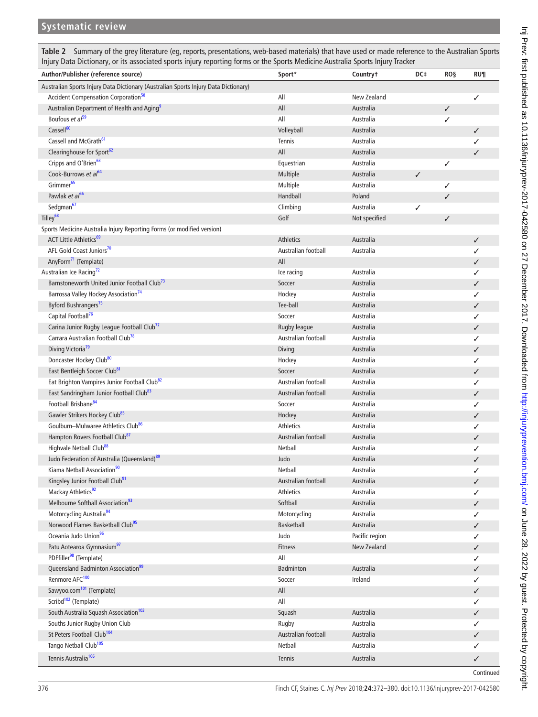<span id="page-4-0"></span>**Table 2** Summary of the grey literature (eg, reports, presentations, web-based materials) that have used or made reference to the Australian Sports Injury Data Dictionary, or its associated sports injury reporting forms or the Sports Medicine Australia Sports Injury Tracker

| Author/Publisher (reference source)                                                 | Sport*              | Countryt       | DC‡          | <b>ROS</b>   | RU¶          |  |  |  |
|-------------------------------------------------------------------------------------|---------------------|----------------|--------------|--------------|--------------|--|--|--|
| Australian Sports Injury Data Dictionary (Australian Sports Injury Data Dictionary) |                     |                |              |              |              |  |  |  |
| Accident Compensation Corporation <sup>58</sup>                                     | All                 | New Zealand    |              |              | ✓            |  |  |  |
| Australian Department of Health and Aging <sup>9</sup>                              | All                 | Australia      |              | $\checkmark$ |              |  |  |  |
| Boufous et al <sup>59</sup>                                                         | All                 | Australia      |              | ✓            |              |  |  |  |
| Cassell <sup>60</sup>                                                               | Volleyball          | Australia      |              |              | ✓            |  |  |  |
| Cassell and McGrath <sup>61</sup>                                                   | Tennis              | Australia      |              |              | ✓            |  |  |  |
| Clearinghouse for Sport <sup>62</sup>                                               | All                 | Australia      |              |              | ✓            |  |  |  |
| Cripps and O'Brien <sup>63</sup>                                                    | Equestrian          | Australia      |              | ✓            |              |  |  |  |
| Cook-Burrows et al <sup>64</sup>                                                    | Multiple            | Australia      | $\checkmark$ |              |              |  |  |  |
| Grimmer <sup>65</sup>                                                               | Multiple            | Australia      |              | ✓            |              |  |  |  |
| Pawlak et al <sup>66</sup>                                                          | Handball            | Poland         |              | ✓            |              |  |  |  |
| Sedgman <sup>67</sup>                                                               | Climbing            | Australia      | ✓            |              |              |  |  |  |
| Tilley <sup>68</sup>                                                                | Golf                | Not specified  |              | ✓            |              |  |  |  |
| Sports Medicine Australia Injury Reporting Forms (or modified version)              |                     |                |              |              |              |  |  |  |
| <b>ACT Little Athletics<sup>69</sup></b>                                            | Athletics           | Australia      |              |              | ✓            |  |  |  |
| AFL Gold Coast Juniors <sup>70</sup>                                                | Australian football | Australia      |              |              | ✓            |  |  |  |
| AnyForm <sup>71</sup> (Template)                                                    | All                 |                |              |              | ✓            |  |  |  |
| Australian Ice Racing <sup>72</sup>                                                 | Ice racing          | Australia      |              |              | ✓            |  |  |  |
| Barnstoneworth United Junior Football Club <sup>73</sup>                            | Soccer              | Australia      |              |              | ✓            |  |  |  |
| Barrossa Valley Hockey Association <sup>74</sup>                                    | Hockey              | Australia      |              |              | ✓            |  |  |  |
| Byford Bushrangers <sup>75</sup>                                                    | Tee-ball            | Australia      |              |              | ✓            |  |  |  |
| Capital Football <sup>76</sup>                                                      | Soccer              | Australia      |              |              | ✓            |  |  |  |
| Carina Junior Rugby League Football Club <sup>77</sup>                              | Rugby league        | Australia      |              |              | ✓            |  |  |  |
| Carrara Australian Football Club <sup>78</sup>                                      | Australian football | Australia      |              |              | ✓            |  |  |  |
| Diving Victoria <sup>79</sup>                                                       | <b>Diving</b>       | Australia      |              |              | ✓            |  |  |  |
| Doncaster Hockey Club <sup>80</sup>                                                 | Hockey              | Australia      |              |              | ✓            |  |  |  |
| East Bentleigh Soccer Club <sup>81</sup>                                            | Soccer              | Australia      |              |              | ✓            |  |  |  |
| Eat Brighton Vampires Junior Football Club <sup>82</sup>                            | Australian football | Australia      |              |              | ✓            |  |  |  |
| East Sandringham Junior Football Club <sup>83</sup>                                 | Australian football | Australia      |              |              | ✓            |  |  |  |
| Football Brisbane <sup>84</sup>                                                     | Soccer              | Australia      |              |              | ✓            |  |  |  |
| Gawler Strikers Hockey Club <sup>85</sup>                                           | Hockey              | Australia      |              |              | ✓            |  |  |  |
| Goulburn-Mulwaree Athletics Club <sup>86</sup>                                      | Athletics           | Australia      |              |              | ✓            |  |  |  |
| Hampton Rovers Football Club <sup>87</sup>                                          | Australian football | Australia      |              |              | ✓            |  |  |  |
| Highvale Netball Club <sup>88</sup>                                                 | Netball             | Australia      |              |              | ✓            |  |  |  |
| Judo Federation of Australia (Queensland) <sup>89</sup>                             | Judo                | Australia      |              |              | ✓            |  |  |  |
| Kiama Netball Association <sup>90</sup>                                             | Netball             | Australia      |              |              |              |  |  |  |
| Kingsley Junior Football Club <sup>91</sup>                                         | Australian football | Australia      |              |              | $\checkmark$ |  |  |  |
| Mackay Athletics <sup>92</sup>                                                      | Athletics           | Australia      |              |              | ✓            |  |  |  |
| Melbourne Softball Association <sup>93</sup>                                        | Softball            | Australia      |              |              | ✓            |  |  |  |
| Motorcycling Australia <sup>94</sup>                                                | Motorcycling        | Australia      |              |              | ✓            |  |  |  |
| Norwood Flames Basketball Club <sup>95</sup>                                        | Basketball          | Australia      |              |              | $\checkmark$ |  |  |  |
| Oceania Judo Union <sup>96</sup>                                                    | Judo                | Pacific region |              |              | ✓            |  |  |  |
| Patu Aotearoa Gymnasium <sup>97</sup>                                               | Fitness             | New Zealand    |              |              | $\checkmark$ |  |  |  |
| PDFfiller <sup>98</sup> (Template)                                                  | All                 |                |              |              | ✓            |  |  |  |
| Queensland Badminton Association <sup>99</sup>                                      | <b>Badminton</b>    | Australia      |              |              | ✓            |  |  |  |
| Renmore AFC <sup>100</sup>                                                          | Soccer              | Ireland        |              |              | ✓            |  |  |  |
| Sawyoo.com <sup>101</sup> (Template)                                                | All                 |                |              |              | ✓            |  |  |  |
| Scribd <sup>102</sup> (Template)                                                    | All                 |                |              |              | ✓            |  |  |  |
| South Australia Squash Association <sup>103</sup>                                   | Squash              | Australia      |              |              | $\checkmark$ |  |  |  |
| Souths Junior Rugby Union Club                                                      | Rugby               | Australia      |              |              | ✓            |  |  |  |
| St Peters Football Club <sup>104</sup>                                              | Australian football | Australia      |              |              | ✓            |  |  |  |
| Tango Netball Club <sup>105</sup>                                                   | Netball             | Australia      |              |              | ✓            |  |  |  |
| Tennis Australia <sup>106</sup>                                                     |                     |                |              |              |              |  |  |  |
|                                                                                     | Tennis              | Australia      |              |              | ✓            |  |  |  |
|                                                                                     |                     |                |              |              | Continued    |  |  |  |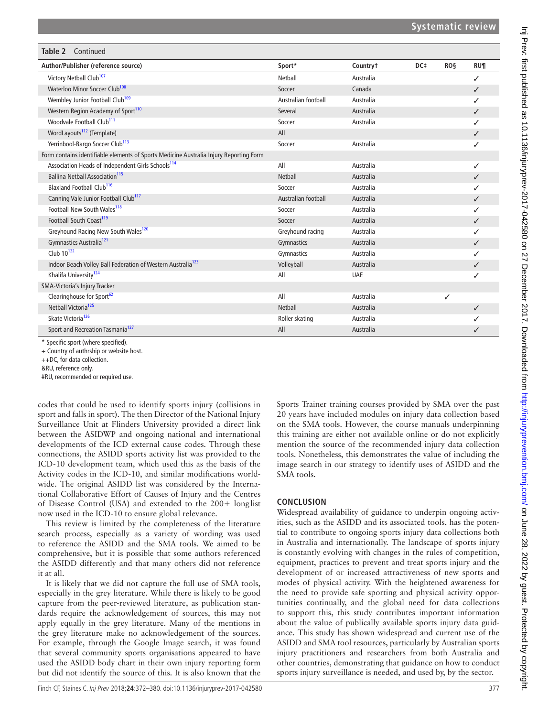| Table 2<br>Continued                                                                   |                     |            |     |            |              |  |  |
|----------------------------------------------------------------------------------------|---------------------|------------|-----|------------|--------------|--|--|
| Author/Publisher (reference source)                                                    | Sport*              | Countryt   | DC‡ | <b>ROS</b> | <b>RU¶</b>   |  |  |
| Victory Netball Club <sup>107</sup>                                                    | Netball             | Australia  |     |            | ✓            |  |  |
| Waterloo Minor Soccer Club <sup>108</sup>                                              | Soccer              | Canada     |     |            | ✓            |  |  |
| Wembley Junior Football Club <sup>109</sup>                                            | Australian football | Australia  |     |            | ✓            |  |  |
| Western Region Academy of Sport <sup>110</sup>                                         | Several             | Australia  |     |            | ✓            |  |  |
| Woodvale Football Club <sup>111</sup>                                                  | Soccer              | Australia  |     |            | ✓            |  |  |
| WordLayouts <sup>112</sup> (Template)                                                  | All                 |            |     |            | ✓            |  |  |
| Yerrinbool-Bargo Soccer Club <sup>113</sup>                                            | Soccer              | Australia  |     |            | ✓            |  |  |
| Form contains identifiable elements of Sports Medicine Australia Injury Reporting Form |                     |            |     |            |              |  |  |
| Association Heads of Independent Girls Schools <sup>114</sup>                          | All                 | Australia  |     |            | ✓            |  |  |
| <b>Ballina Netball Association</b> <sup>115</sup>                                      | <b>Netball</b>      | Australia  |     |            | ✓            |  |  |
| Blaxland Football Club <sup>116</sup>                                                  | Soccer              | Australia  |     |            |              |  |  |
| Canning Vale Junior Football Club <sup>117</sup>                                       | Australian football | Australia  |     |            | ✓            |  |  |
| Football New South Wales <sup>118</sup>                                                | Soccer              | Australia  |     |            |              |  |  |
| Football South Coast <sup>119</sup>                                                    | Soccer              | Australia  |     |            | ✓            |  |  |
| Greyhound Racing New South Wales <sup>120</sup>                                        | Greyhound racing    | Australia  |     |            | ✓            |  |  |
| Gymnastics Australia <sup>121</sup>                                                    | Gymnastics          | Australia  |     |            | ✓            |  |  |
| Club 10 <sup>122</sup>                                                                 | Gymnastics          | Australia  |     |            | ✓            |  |  |
| Indoor Beach Volley Ball Federation of Western Australia <sup>123</sup>                | Volleyball          | Australia  |     |            |              |  |  |
| Khalifa University <sup>124</sup>                                                      | All                 | <b>UAE</b> |     |            | ✓            |  |  |
| SMA-Victoria's Injury Tracker                                                          |                     |            |     |            |              |  |  |
| Clearinghouse for Sport <sup>62</sup>                                                  | All                 | Australia  |     | ✓          |              |  |  |
| Netball Victoria <sup>125</sup>                                                        | <b>Netball</b>      | Australia  |     |            | $\checkmark$ |  |  |
| Skate Victoria <sup>126</sup>                                                          | Roller skating      | Australia  |     |            |              |  |  |
| Sport and Recreation Tasmania <sup>127</sup>                                           | All                 | Australia  |     |            | ✓            |  |  |

\* Specific sport (where specified).

+ Country of authrship or website host.

++DC, for data collection.

&RU, reference only.

#RU, recommended or required use.

codes that could be used to identify sports injury (collisions in sport and falls in sport). The then Director of the National Injury Surveillance Unit at Flinders University provided a direct link between the ASIDWP and ongoing national and international developments of the ICD external cause codes. Through these connections, the ASIDD sports activity list was provided to the ICD-10 development team, which used this as the basis of the Activity codes in the ICD-10, and similar modifications worldwide. The original ASIDD list was considered by the International Collaborative Effort of Causes of Injury and the Centres of Disease Control (USA) and extended to the 200+ long list now used in the ICD-10 to ensure global relevance.

This review is limited by the completeness of the literature search process, especially as a variety of wording was used to reference the ASIDD and the SMA tools. We aimed to be comprehensive, but it is possible that some authors referenced the ASIDD differently and that many others did not reference it at all.

It is likely that we did not capture the full use of SMA tools, especially in the grey literature. While there is likely to be good capture from the peer-reviewed literature, as publication standards require the acknowledgement of sources, this may not apply equally in the grey literature. Many of the mentions in the grey literature make no acknowledgement of the sources. For example, through the Google Image search, it was found that several community sports organisations appeared to have used the ASIDD body chart in their own injury reporting form but did not identify the source of this. It is also known that the Sports Trainer training courses provided by SMA over the past 20 years have included modules on injury data collection based on the SMA tools. However, the course manuals underpinning this training are either not available online or do not explicitly mention the source of the recommended injury data collection tools. Nonetheless, this demonstrates the value of including the image search in our strategy to identify uses of ASIDD and the SMA tools.

## **Conclusion**

Widespread availability of guidance to underpin ongoing activities, such as the ASIDD and its associated tools, has the potential to contribute to ongoing sports injury data collections both in Australia and internationally. The landscape of sports injury is constantly evolving with changes in the rules of competition, equipment, practices to prevent and treat sports injury and the development of or increased attractiveness of new sports and modes of physical activity. With the heightened awareness for the need to provide safe sporting and physical activity opportunities continually, and the global need for data collections to support this, this study contributes important information about the value of publically available sports injury data guidance. This study has shown widespread and current use of the ASIDD and SMA tool resources, particularly by Australian sports injury practitioners and researchers from both Australia and other countries, demonstrating that guidance on how to conduct sports injury surveillance is needed, and used by, by the sector.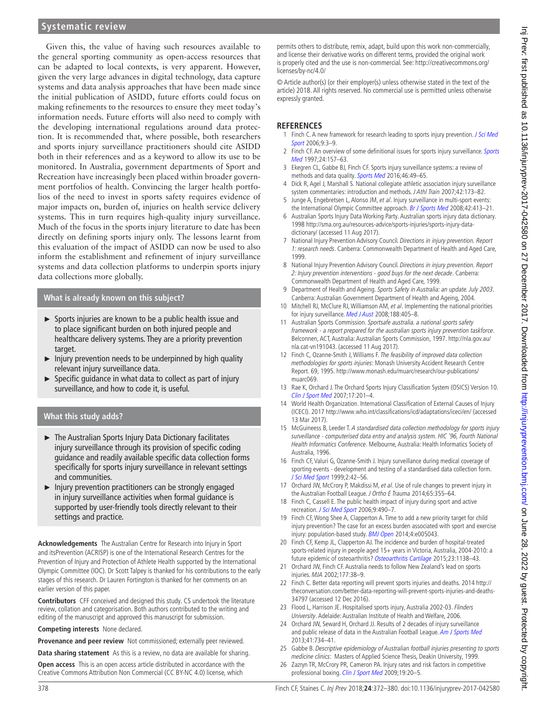Given this, the value of having such resources available to the general sporting community as open-access resources that can be adapted to local contexts, is very apparent. However, given the very large advances in digital technology, data capture systems and data analysis approaches that have been made since the initial publication of ASIDD, future efforts could focus on making refinements to the resources to ensure they meet today's information needs. Future efforts will also need to comply with the developing international regulations around data protection. It is recommended that, where possible, both researchers and sports injury surveillance practitioners should cite ASIDD both in their references and as a keyword to allow its use to be monitored. In Australia, government departments of Sport and Recreation have increasingly been placed within broader government portfolios of health. Convincing the larger health portfolios of the need to invest in sports safety requires evidence of major impacts on, burden of, injuries on health service delivery systems. This in turn requires high-quality injury surveillance. Much of the focus in the sports injury literature to date has been directly on defining sports injury only. The lessons learnt from this evaluation of the impact of ASIDD can now be used to also inform the establishment and refinement of injury surveillance systems and data collection platforms to underpin sports injury data collections more globally.

## **What is already known on this subject?**

- ► Sports injuries are known to be a public health issue and to place significant burden on both injured people and healthcare delivery systems. They are a priority prevention target.
- $\blacktriangleright$  Injury prevention needs to be underpinned by high quality relevant injury surveillance data.
- $\triangleright$  Specific guidance in what data to collect as part of injury surveillance, and how to code it, is useful.

## **What this study adds?**

- ► The Australian Sports Injury Data Dictionary facilitates injury surveillance through its provision of specific coding guidance and readily available specific data collection forms specifically for sports injury surveillance in relevant settings and communities.
- ► Injury prevention practitioners can be strongly engaged in injury surveillance activities when formal guidance is supported by user-friendly tools directly relevant to their settings and practice.

**Acknowledgements** The Australian Centre for Research into Injury in Sport and itsPrevention (ACRISP) is one of the International Research Centres for the Prevention of Injury and Protection of Athlete Health supported by the International Olympic Committee (IOC). Dr Scott Talpey is thanked for his contributions to the early stages of this research. Dr Lauren Fortington is thanked for her comments on an earlier version of this paper.

**Contributors** CFF conceived and designed this study. CS undertook the literature review, collation and categorisation. Both authors contributed to the writing and editing of the manuscript and approved this manuscript for submission.

**Competing interests** None declared.

**Provenance and peer review** Not commissioned; externally peer reviewed.

**Data sharing statement** As this is a review, no data are available for sharing.

**Open access** This is an open access article distributed in accordance with the Creative Commons Attribution Non Commercial (CC BY-NC 4.0) license, which

permits others to distribute, remix, adapt, build upon this work non-commercially, and license their derivative works on different terms, provided the original work is properly cited and the use is non-commercial. See: [http://creativecommons.org/](http://creativecommons.org/licenses/by-nc/4.0/) [licenses/by-nc/4.0/](http://creativecommons.org/licenses/by-nc/4.0/)

© Article author(s) (or their employer(s) unless otherwise stated in the text of the article) 2018. All rights reserved. No commercial use is permitted unless otherwise expressly granted.

## **References**

- <span id="page-6-0"></span>1 Finch C. A new framework for research leading to sports injury prevention. J Sci Med [Sport](http://dx.doi.org/10.1016/j.jsams.2006.02.009) 2006:9:3-9.
- <span id="page-6-1"></span>2 Finch CF. An overview of some definitional issues for sports injury surveillance. [Sports](http://dx.doi.org/10.2165/00007256-199724030-00002) [Med](http://dx.doi.org/10.2165/00007256-199724030-00002) 1997;24:157–63.
- <span id="page-6-2"></span>Ekegren CL, Gabbe BJ, Finch CF. Sports injury surveillance systems: a review of methods and data quality. [Sports Med](http://dx.doi.org/10.1007/s40279-015-0410-z) 2016;46:49-65.
- <span id="page-6-3"></span>4 Dick R, Agel J, Marshall S. National collegiate athletic association injury surveillance system commentaries: introduction and methods. J Athl Train 2007;42:173–82.
- <span id="page-6-4"></span>5 Junge A, Engebretsen L, Alonso JM, et al. Injury surveillance in multi-sport events: the International Olympic Committee approach. [Br J Sports Med](http://dx.doi.org/10.1136/bjsm.2008.046631) 2008;42:413-21.
- <span id="page-6-5"></span>6 Australian Sports Injury Data Working Party. Australian sports injury data dictionary. 1998 [http://sma.org.au/resources-advice/sports-injuries/sports-injury-data](http://sma.org.au/resources-advice/sports-injuries/sports-injury-data-dictionary/)[dictionary/](http://sma.org.au/resources-advice/sports-injuries/sports-injury-data-dictionary/) (accessed 11 Aug 2017).
- <span id="page-6-6"></span>7 National Injury Prevention Advisory Council. Directions in injury prevention. Report 1: research needs. Canberra: Commonwealth Department of Health and Aged Care, 1999.
- 8 National Injury Prevention Advisory Council. Directions in injury prevention. Report 2: Injury prevention interventions - good buys for the next decade. Canberra: Commonwealth Department of Health and Aged Care, 1999.
- <span id="page-6-7"></span>9 Department of Health and Ageing. Sports Safety in Australia: an update. July 2003. Canberra: Australian Government Department of Health and Ageing, 2004.
- 10 Mitchell RJ, McClure RJ, Williamson AM, et al. Implementing the national priorities for injury surveillance. [Med J Aust](http://www.ncbi.nlm.nih.gov/pubmed/18393744) 2008;188:405-8.
- 11 Australian Sports Commission. Sportsafe australia, a national sports safety framework - a report prepared for the australian sports injury prevention taskforce. Belconnen, ACT, Australia: Australian Sports Commission, 1997. [http://nla.gov.au/](http://nla.gov.au/nla.cat-vn191043) [nla.cat-vn191043](http://nla.gov.au/nla.cat-vn191043). (accessed 11 Aug 2017).
- <span id="page-6-8"></span>12 Finch C, Ozanne-Smith J, Williams F. The feasibility of improved data collection methodologies for sports injuries: Monash University Accident Research Centre Report. 69, 1995. [http://www.monash.edu/muarc/research/our-publications/](http://www.monash.edu/muarc/research/our-publications/muarc069) [muarc069](http://www.monash.edu/muarc/research/our-publications/muarc069).
- <span id="page-6-9"></span>13 Rae K, Orchard J. The Orchard Sports Injury Classification System (OSICS) Version 10. [Clin J Sport Med](http://dx.doi.org/10.1097/JSM.0b013e318059b536) 2007;17:201–4.
- <span id="page-6-10"></span>14 World Health Organization. International Classification of External Causes of Injury (ICECI). 2017<http://www.who.int/classifications/icd/adaptations/iceci/en/>(accessed 13 Mar 2017).
- <span id="page-6-11"></span>15 McGuineess B, Leeder T. A standardised data collection methodology for sports injury surveillance - computerised data entry and analysis system. HIC '96, Fourth National Health Informatics Conference. Melbourne, Australia: Health Informatics Society of Australia, 1996.
- <span id="page-6-12"></span>16 Finch CF, Valuri G, Ozanne-Smith J. Injury surveillance during medical coverage of sporting events - development and testing of a standardised data collection form. [J Sci Med Sport](http://dx.doi.org/10.1016/S1440-2440(99)80183-2) 1999;2:42–56.
- <span id="page-6-13"></span>17 Orchard JW, McCrory P, Makdissi M, et al. Use of rule changes to prevent injury in the Australian Football League. J Ortho E Trauma 2014;65:355–64.
- <span id="page-6-14"></span>18 Finch C, Cassell E. The public health impact of injury during sport and active recreation. [J Sci Med Sport](http://dx.doi.org/10.1016/j.jsams.2006.03.002) 2006;9:490–7.
- 19 Finch CF, Wong Shee A, Clapperton A. Time to add a new priority target for child injury prevention? The case for an excess burden associated with sport and exercise injury: population-based study. [BMJ Open](http://dx.doi.org/10.1136/bmjopen-2014-005043) 2014;4:e005043.
- 20 Finch CF, Kemp JL, Clapperton AJ. The incidence and burden of hospital-treated sports-related injury in people aged 15+ years in Victoria, Australia, 2004-2010: a future epidemic of osteoarthritis? [Osteoarthritis Cartilage](http://dx.doi.org/10.1016/j.joca.2015.02.165) 2015;23:1138-43.
- <span id="page-6-15"></span>21 Orchard JW, Finch CF. Australia needs to follow New Zealand's lead on sports injuries. MJA 2002;177:38–9.
- 22 Finch C. Better data reporting will prevent sports injuries and deaths. 2014 [http://](http://theconversation.com/better-data-reporting-will-prevent-sports-injuries-and-deaths-34797) [theconversation.com/better-data-reporting-will-prevent-sports-injuries-and-deaths-](http://theconversation.com/better-data-reporting-will-prevent-sports-injuries-and-deaths-34797)[34797](http://theconversation.com/better-data-reporting-will-prevent-sports-injuries-and-deaths-34797) (accessed 12 Dec 2016).
- <span id="page-6-16"></span>23 Flood L, Harrison JE. Hospitalised sports injury, Australia 2002-03. Flinders University. Adelaide: Australian Institute of Health and Welfare, 2006.
- <span id="page-6-17"></span>24 Orchard JW, Seward H, Orchard JJ. Results of 2 decades of injury surveillance and public release of data in the Australian Football League. [Am J Sports Med](http://dx.doi.org/10.1177/0363546513476270) 2013;41:734–41.
- <span id="page-6-18"></span>25 Gabbe B. Descriptive epidemiology of Australian football injuries presenting to sports medicine clinics: Masters of Applied Science Thesis, Deakin University, 1999.
- <span id="page-6-19"></span>26 Zazryn TR, McCrory PR, Cameron PA. Injury rates and risk factors in competitive professional boxing. [Clin J Sport Med](http://dx.doi.org/10.1097/JSM.0b013e31818f1582) 2009;19:20-5.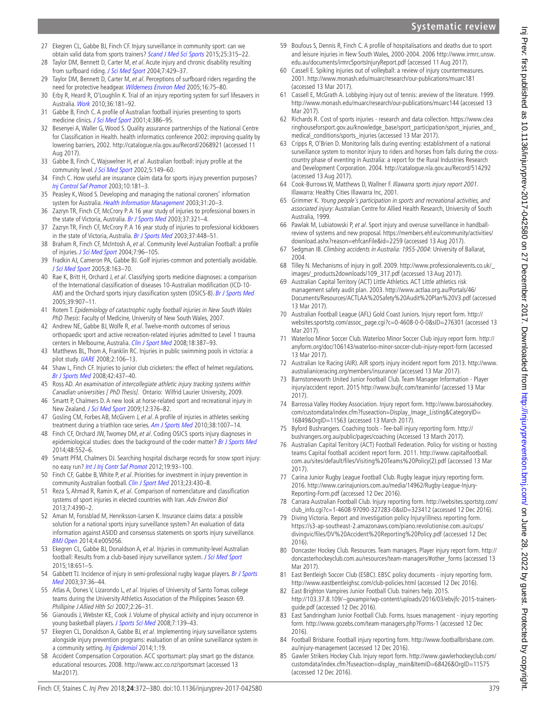- 27 Ekegren CL, Gabbe BJ, Finch CF. Injury surveillance in community sport: can we obtain valid data from sports trainers? [Scand J Med Sci Sports](http://dx.doi.org/10.1111/sms.12216) 2015;25:315–22.
- <span id="page-7-8"></span>28 Taylor DM, Bennett D, Carter M, et al. Acute injury and chronic disability resulting from surfboard riding. [J Sci Med Sport](http://dx.doi.org/10.1016/S1440-2440(04)80260-3) 2004;7:429-37.
- <span id="page-7-11"></span>29 Taylor DM, Bennett D, Carter M, et al. Perceptions of surfboard riders regarding the need for protective headgear. [Wilderness Environ Med](http://dx.doi.org/10.1580/1080-6032(2005)16[75:POSRRT]2.0.CO;2) 2005;16:75–80.
- <span id="page-7-18"></span>30 Erby R, Heard R, O'Loughlin K. Trial of an injury reporting system for surf lifesavers in Australia. [Work](http://dx.doi.org/10.3233/WOR-2010-1019) 2010;36:181–92.
- <span id="page-7-0"></span>31 Gabbe B, Finch C. A profile of Australian football injuries presenting to sports medicine clinics. *[J Sci Med Sport](http://dx.doi.org/10.1016/S1440-2440(01)80048-7)* 2001;4:386-95.
- <span id="page-7-1"></span>32 Besenyei A, Waller G, Wood S. Quality assurance partnerships of the National Centre for Classification in Health. health informatics conference 2002: improving quality by lowering barriers, 2002. <http://catalogue.nla.gov.au/Record/2068921>(accessed 11 Aug 2017).
- <span id="page-7-2"></span>33 Gabbe B, Finch C, Wajswelner H, et al. Australian football: injury profile at the community level. [J Sci Med Sport](http://dx.doi.org/10.1016/S1440-2440(02)80036-6) 2002;5:149-60.
- <span id="page-7-3"></span>34 Finch C. How useful are insurance claim data for sports injury prevention purposes? [Inj Control Saf Promot](http://dx.doi.org/10.1076/icsp.10.3.181.14559) 2003;10:181–3.
- <span id="page-7-4"></span>35 Peasley K, Wood S. Developing and managing the national coroners' information system for Australia. [Health Information Management](http://dx.doi.org/10.1177/183335830303100109) 2003;31:20–3.
- <span id="page-7-5"></span>36 Zazryn TR, Finch CF, McCrory P. A 16 year study of injuries to professional boxers in the state of Victoria, Australia. [Br J Sports Med](http://dx.doi.org/10.1136/bjsm.37.4.321) 2003;37:321-4.
- <span id="page-7-6"></span>37 Zazryn TR, Finch CF, McCrory P. A 16 year study of injuries to professional kickboxers in the state of Victoria, Australia. [Br J Sports Med](http://dx.doi.org/10.1136/bjsm.37.5.448) 2003;37:448-51.
- <span id="page-7-7"></span>38 Braham R, Finch CF, McIntosh A, et al. Community level Australian Football: a profile of injuries. [J Sci Med Sport](http://dx.doi.org/10.1016/S1440-2440(04)80048-3) 2004;7:96-105.
- <span id="page-7-9"></span>39 Fradkin AJ, Cameron PA, Gabbe BJ. Golf injuries-common and potentially avoidable. [J Sci Med Sport](http://dx.doi.org/10.1016/S1440-2440(05)80007-6) 2005;8:163–70.
- <span id="page-7-10"></span>40 Rae K, Britt H, Orchard J, et al. Classifying sports medicine diagnoses: a comparison of the International classification of diseases 10-Australian modification (ICD-10- AM) and the Orchard sports injury classification system (OSICS-8). [Br J Sports Med](http://dx.doi.org/10.1136/bjsm.2004.017517) 2005;39:907–11.
- <span id="page-7-12"></span>41 Rotem T. Epidemiology of catastrophic rugby football injuries in New South Wales PhD Thesis: Faculty of Medicine, University of New South Wales, 2007.
- <span id="page-7-13"></span>42 Andrew NE, Gabbe BJ, Wolfe R, et al. Twelve-month outcomes of serious orthopaedic sport and active recreation-related injuries admitted to Level 1 trauma centers in Melbourne, Australia. [Clin J Sport Med](http://dx.doi.org/10.1097/JSM.0b013e3181859f8d) 2008;18:387-93.
- <span id="page-7-14"></span>43 Matthews BL, Thom A, Franklin RC. Injuries in public swimming pools in victoria: a pilot study. [IJARE](http://dx.doi.org/10.25035/ijare.02.02.03) 2008;2:106–13.
- <span id="page-7-15"></span>Shaw L, Finch CF. Injuries to junior club cricketers: the effect of helmet regulations. [Br J Sports Med](http://dx.doi.org/10.1136/bjsm.2007.041947) 2008;42:437–40.
- <span id="page-7-16"></span>45 Ross AD. An examination of intercollegiate athletic injury tracking systems within Canadian universities [ PhD Thesis]. Ontario: Wilfrid Laurier University, 2009.
- <span id="page-7-17"></span>46 Smartt P, Chalmers D. A new look at horse-related sport and recreational injury in New Zealand. [J Sci Med Sport](http://dx.doi.org/10.1016/j.jsams.2008.04.001) 2009;12:376–82.
- <span id="page-7-19"></span>47 Gosling CM, Forbes AB, McGivern J, et al. A profile of injuries in athletes seeking treatment during a triathlon race series. [Am J Sports Med](http://dx.doi.org/10.1177/0363546509356979) 2010;38:1007–14.
- <span id="page-7-20"></span>48 Finch CF, Orchard JW, Twomey DM, et al. Coding OSICS sports injury diagnoses in epidemiological studies: does the background of the coder matter? [Br J Sports Med](http://dx.doi.org/10.1136/bjsports-2012-091219) 2014;48:552–6.
- <span id="page-7-21"></span>49 Smartt PFM, Chalmers DJ. Searching hospital discharge records for snow sport injury: no easy run? [Int J Inj Contr Saf Promot](http://dx.doi.org/10.1080/17457300.2011.603146) 2012;19:93–100.
- <span id="page-7-22"></span>50 Finch CF, Gabbe B, White P, et al. Priorities for investment in injury prevention in community Australian football. [Clin J Sport Med](http://dx.doi.org/10.1097/JSM.0b013e31829aa3e8) 2013;23:430-8.
- <span id="page-7-23"></span>51 Reza S, Ahmad R, Ramin K, et al. Comparison of nomenclature and classification systems of sport injuries in elected countries with Iran. Adv Environ Biol 2013;7:4390–2.
- <span id="page-7-24"></span>52 Aman M, Forssblad M, Henriksson-Larsen K. Insurance claims data: a possible solution for a national sports injury surveillance system? An evaluation of data information against ASIDD and consensus statements on sports injury surveillance. [BMJ Open](http://dx.doi.org/10.1136/bmjopen-2014-005056) 2014;4:e005056.
- <span id="page-7-25"></span>53 Ekegren CL, Gabbe BJ, Donaldson A, et al. Injuries in community-level Australian football: Results from a club-based injury surveillance system. [J Sci Med Sport](http://dx.doi.org/10.1016/j.jsams.2014.11.390) 2015;18:651–5.
- <span id="page-7-26"></span>54 Gabbett TJ. Incidence of injury in semi-professional rugby league players. Br J Sports [Med](http://dx.doi.org/10.1136/bjsm.37.1.36) 2003;37:36–44.
- <span id="page-7-27"></span>55 Atlas A, Dones V, Lizarondo L, et al. Injuries of University of Santo Tomas college teams during the University Athletics Association of the Philippines Season 69. Phillipine J Allied Hlth Sci 2007;2:26–31.
- <span id="page-7-28"></span>56 Gianoudis J, Webster KE, Cook J. Volume of physical activity and injury occurrence in young basketball players. [J Sports Sci Med](http://www.ncbi.nlm.nih.gov/pubmed/24150146) 2008;7:139-43.
- <span id="page-7-29"></span>57 Ekegren CL, Donaldson A, Gabbe BJ, et al. Implementing injury surveillance systems alongside injury prevention programs: evaluation of an online surveillance system in a community setting. [Inj Epidemiol](http://dx.doi.org/10.1186/s40621-014-0019-y) 2014;1:19.
- <span id="page-7-30"></span>58 Accident Compensation Corporation. ACC sportssmart: play smart go the distance. educational resources. 2008.<http://www.acc.co.nz/sportsmart>(accessed 13 Mar2017).
- <span id="page-7-31"></span>59 Boufous S, Dennis R, Finch C. A profile of hospitalisations and deaths due to sport and leisure injuries in New South Wales, 2000-2004. 2006 [http://www.irmrc.unsw.](http://www.irmrc.unsw.edu.au/documents/irmrcSportsInjuryReport.pdf) [edu.au/documents/irmrcSportsInjuryReport.pdf](http://www.irmrc.unsw.edu.au/documents/irmrcSportsInjuryReport.pdf) (accessed 11 Aug 2017).
- <span id="page-7-32"></span>60 Cassell E. Spiking injuries out of volleyball: a review of injury countermeasures. 2001. <http://www.monash.edu/muarc/research/our-publications/muarc181> (accessed 13 Mar 2017).
- <span id="page-7-33"></span>61 Cassell E, McGrath A. Lobbying injury out of tennis: areview of the literature. 1999. <http://www.monash.edu/muarc/research/our-publications/muarc144> (accessed 13 Mar 2017).
- <span id="page-7-34"></span>62 Richards R. Cost of sports injuries - research and data collection. [https://www.clea](https://www.clearinghouseforsport.gov.au/knowledge_base/sport_participation/sport_injuries_and_medical_conditions/sports_injuries) [ringhouseforsport.gov.au/knowledge\\_base/sport\\_participation/sport\\_injuries\\_and\\_](https://www.clearinghouseforsport.gov.au/knowledge_base/sport_participation/sport_injuries_and_medical_conditions/sports_injuries) [medical\\_conditions/sports\\_injuries](https://www.clearinghouseforsport.gov.au/knowledge_base/sport_participation/sport_injuries_and_medical_conditions/sports_injuries) (accessed 13 Mar 2017).
- <span id="page-7-35"></span>63 Cripps R, O'Brien D. Monitoring falls during eventing: establishment of a national surveillance system to monitor injury to riders and horses from falls during the crosscountry phase of eventing in Australia: a report for the Rural Industries Research and Development Corporation. 2004.<http://catalogue.nla.gov.au/Record/514292> (accessed 13 Aug 2017).
- <span id="page-7-36"></span>64 Cook-Burrows W, Matthews D, Wallner F. Illawarra sports injury report 2001. Illawarra: Healthy Cities Illawarra Inc, 2001.
- <span id="page-7-37"></span>65 Grimmer K. Young people's participation in sports and recreational activities, and associated injury: Australian Centre for Allied Health Research, University of South Australia, 1999.
- <span id="page-7-38"></span>66 Pawlak M, Lubiatowski P, et al. Sport injury and overuse surveillance in handballreview of systems and new proposal. [https://members.ehf.eu/community/activities/](https://members.ehf.eu/community/activities/download.ashx?reason=ehfcanFile&id=2259) [download.ashx?reason=ehfcanFile&id=2259](https://members.ehf.eu/community/activities/download.ashx?reason=ehfcanFile&id=2259) (accessed 13 Aug 2017).
- <span id="page-7-39"></span>67 Sedgman IB. Climbing accidents in Australia: 1955-2004: University of Ballarat, 2004.
- <span id="page-7-40"></span>68 Tilley N. Mechanisms of injury in golf. 2009. [http://www.professionalevents.co.uk/\\_](http://www.professionalevents.co.uk/_images/_products2downloads/109_317.pdf) [images/\\_products2downloads/109\\_317.pdf](http://www.professionalevents.co.uk/_images/_products2downloads/109_317.pdf) (accessed 13 Aug 2017).
- <span id="page-7-41"></span>Australian Capital Territory (ACT) Little Athletics. ACT Little athletics risk management safety audit plan. 2003. [http://www.actlaa.org.au/Portals/46/](http://www.actlaa.org.au/Portals/46/Documents/Resources/ACTLAA%20Safety%20Audit%20Plan%20V3.pdf) [Documents/Resources/ACTLAA%20Safety%20Audit%20Plan%20V3.pdf](http://www.actlaa.org.au/Portals/46/Documents/Resources/ACTLAA%20Safety%20Audit%20Plan%20V3.pdf) (accessed 13 Mar 2017).
- <span id="page-7-42"></span>70 Australian Football League (AFL) Gold Coast Juniors. Injury report form. [http://](http://websites.sportstg.com/assoc_page.cgi?c=0-4608-0-0-0&sID=276301) [websites.sportstg.com/assoc\\_page.cgi?c=0-4608-0-0-0&sID=276301](http://websites.sportstg.com/assoc_page.cgi?c=0-4608-0-0-0&sID=276301) (accessed 13 Mar 2017).
- <span id="page-7-43"></span>71 Waterloo Minor Soccer Club. Waterloo Minor Soccer Club injury report form. [http://](http://anyform.org/doc/106143/waterloo-minor-soccer-club-injury-report-form) [anyform.org/doc/106143/waterloo-minor-soccer-club-injury-report-form](http://anyform.org/doc/106143/waterloo-minor-soccer-club-injury-report-form) (accessed 13 Mar 2017).
- <span id="page-7-44"></span>72 Australian Ice Racing (AIR). AIR sports injury incident report form 2013. [http://www.](http://www.australianiceracing.org/members/insurance/) [australianiceracing.org/members/insurance/](http://www.australianiceracing.org/members/insurance/) (accessed 13 Mar 2017).
- <span id="page-7-45"></span>73 Barnstoneworth United Junior Football Club. Team Manager Information - Player injury/accident report. 2015<http://www.bujfc.com/teaminfo/>(accessed 13 Mar 2017).
- <span id="page-7-46"></span>74 Barrossa Valley Hockey Association. Injury report form. [http://www.barossahockey.](http://www.barossahockey.com/customdata/index.cfm?fuseaction=Display_Image_Listing&CategoryID=16849&OrgID=11563) [com/customdata/index.cfm?fuseaction=Display\\_Image\\_Listing&CategoryID=](http://www.barossahockey.com/customdata/index.cfm?fuseaction=Display_Image_Listing&CategoryID=16849&OrgID=11563) [16849&OrgID=11563](http://www.barossahockey.com/customdata/index.cfm?fuseaction=Display_Image_Listing&CategoryID=16849&OrgID=11563) (accessed 13 March 2017).
- <span id="page-7-47"></span>75 Byford Bushrangers. Coaching tools - Tee-ball injury reporting form. [http://](http://bushrangers.org.au/public/pages/coaching) [bushrangers.org.au/public/pages/coaching](http://bushrangers.org.au/public/pages/coaching) (Accessed 13 March 2017).
- <span id="page-7-48"></span>76 Australian Capital Territory (ACT) Football Federation. Policy for visiting or hosting teams Capital football accident report form. 2011. [http://www.capitalfootball.](http://www.capitalfootball.com.au/sites/default/files/Visiting%20Teams%20Policy(2).pdf) [com.au/sites/default/files/Visiting%20Teams%20Policy\(2\).pdf](http://www.capitalfootball.com.au/sites/default/files/Visiting%20Teams%20Policy(2).pdf) (accessed 13 Mar 2017).
- <span id="page-7-49"></span>77 Carina Junior Rugby League Football Club. Rugby league injury reporting form. 2016. [http://www.carinajuniors.com.au/media/14962/Rugby-League-Injury-](http://www.carinajuniors.com.au/media/14962/Rugby-League-Injury-Reporting-Form.pdf)[Reporting-Form.pdf](http://www.carinajuniors.com.au/media/14962/Rugby-League-Injury-Reporting-Form.pdf) (accessed 12 Dec 2016).
- <span id="page-7-50"></span>78 Carrara Australian Football Club. Injury reporting form. [http://websites.sportstg.com/](http://websites.sportstg.com/club_info.cgi?c=1-4608-97090-327283-0&sID=323412) [club\\_info.cgi?c=1-4608-97090-327283-0&sID=323412](http://websites.sportstg.com/club_info.cgi?c=1-4608-97090-327283-0&sID=323412) (accessed 12 Dec 2016).
- <span id="page-7-51"></span>79 Diving Victoria. Report and investigation policy Injury/illness reporting form. [https://s3-ap-southeast-2.amazonaws.com/piano.revolutionise.com.au/cups/](https://s3-ap-southeast-2.amazonaws.com/piano.revolutionise.com.au/cups/divingvic/files/DV%20Accident%20Reporting%20Policy.pdf) [divingvic/files/DV%20Accident%20Reporting%20Policy.pdf](https://s3-ap-southeast-2.amazonaws.com/piano.revolutionise.com.au/cups/divingvic/files/DV%20Accident%20Reporting%20Policy.pdf) (accessed 12 Dec 2016).
- <span id="page-7-52"></span>80 Doncaster Hockey Club. Resources. Team managers. Player injury report form. [http://](http://doncasterhockeyclub.com.au/resources/team-managers/#other_forms) [doncasterhockeyclub.com.au/resources/team-managers/#other\\_forms](http://doncasterhockeyclub.com.au/resources/team-managers/#other_forms) (accessed 13 Mar 2017).
- <span id="page-7-53"></span>81 East Bentleigh Soccer Club (ESBC). EBSC policy documents - injury reporting form. <http://www.eastbentleighsc.com/club-policies.html>(accessed 12 Dec 2016).
- <span id="page-7-54"></span>82 East Brighton Vampires Junior Football Club. trainers help. 2015. [http://103.37.8.109/~govampir/wp-content/uploads/2016/03/ebvjfc-2015-trainers](http://103.37.8.109/~govampir/wp-content/uploads/2016/03/ebvjfc-2015-trainers-guide.pdf)[guide.pdf](http://103.37.8.109/~govampir/wp-content/uploads/2016/03/ebvjfc-2015-trainers-guide.pdf) (accessed 12 Dec 2016).
- <span id="page-7-55"></span>83 East Sandringham Junior Football Club. Forms. Issues management - injury reporting form. <http://www.gozebs.com/team-managers.php?Forms-1>(accessed 12 Dec 2016).
- <span id="page-7-56"></span>84 Football Brisbane. Football injury reporting form. [http://www.footballbrisbane.com.](http://www.footballbrisbane.com.au/injury-management) [au/injury-management](http://www.footballbrisbane.com.au/injury-management) (accessed 12 Dec 2016).
- <span id="page-7-57"></span>85 Gawler Strikers Hockey Club. Injury report form. [http://www.gawlerhockeyclub.com/](http://www.gawlerhockeyclub.com/customdata/index.cfm?fuseaction=display_main&ItemID=68426&OrgID=11575) [customdata/index.cfm?fuseaction=display\\_main&ItemID=68426&OrgID=11575](http://www.gawlerhockeyclub.com/customdata/index.cfm?fuseaction=display_main&ItemID=68426&OrgID=11575) (accessed 12 Dec 2016).